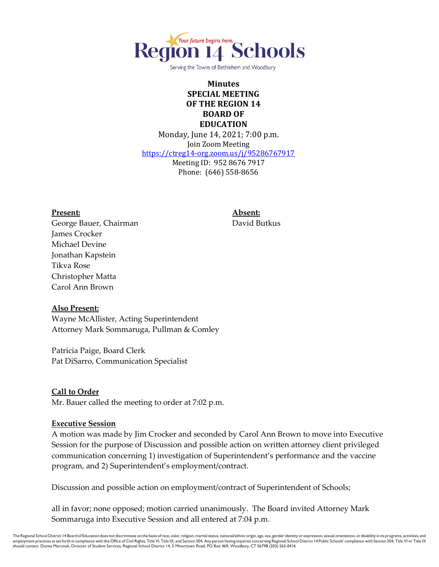

Serving the Towns of Bethlehem and Woodbury

## **Minutes SPECIAL MEETING OF THE REGION 14 BOARD OF EDUCATION**

Monday, June 14, 2021; 7:00 p.m. Join Zoom Meeting <https://ctreg14-org.zoom.us/j/95286767917> Meeting ID: 952 8676 7917 Phone: (646) 558-8656

**Present: Absent:** George Bauer, Chairman **David Butkus** James Crocker Michael Devine Jonathan Kapstein Tikva Rose Christopher Matta Carol Ann Brown

#### **Also Present:**

Wayne McAllister, Acting Superintendent Attorney Mark Sommaruga, Pullman & Comley

Patricia Paige, Board Clerk Pat DiSarro, Communication Specialist

#### **Call to Order**

Mr. Bauer called the meeting to order at 7:02 p.m.

#### **Executive Session**

A motion was made by Jim Crocker and seconded by Carol Ann Brown to move into Executive Session for the purpose of Discussion and possible action on written attorney client privileged communication concerning 1) investigation of Superintendent's performance and the vaccine program, and 2) Superintendent's employment/contract.

Discussion and possible action on employment/contract of Superintendent of Schools;

all in favor; none opposed; motion carried unanimously. The Board invited Attorney Mark Sommaruga into Executive Session and all entered at 7:04 p.m.